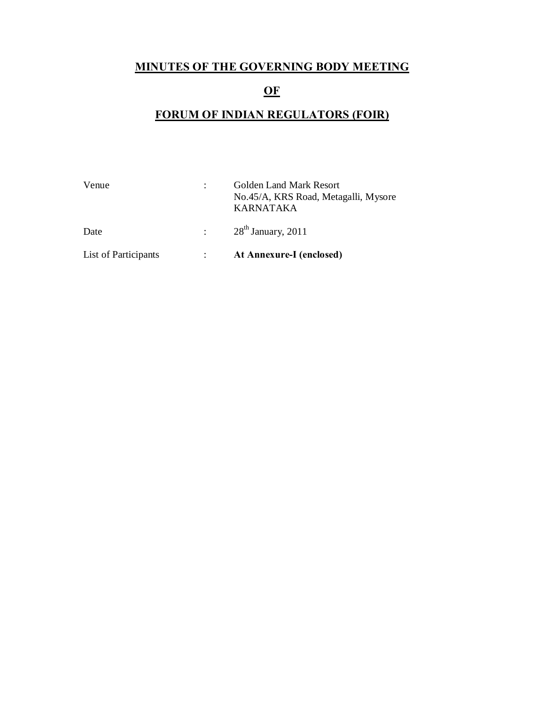# **MINUTES OF THE GOVERNING BODY MEETING**

# **OF**

# **FORUM OF INDIAN REGULATORS (FOIR)**

| Venue                | Golden Land Mark Resort<br>No.45/A, KRS Road, Metagalli, Mysore<br><b>KARNATAKA</b> |
|----------------------|-------------------------------------------------------------------------------------|
| Date                 | $\approx 28^{th}$ January, 2011                                                     |
| List of Participants | At Annexure-I (enclosed)                                                            |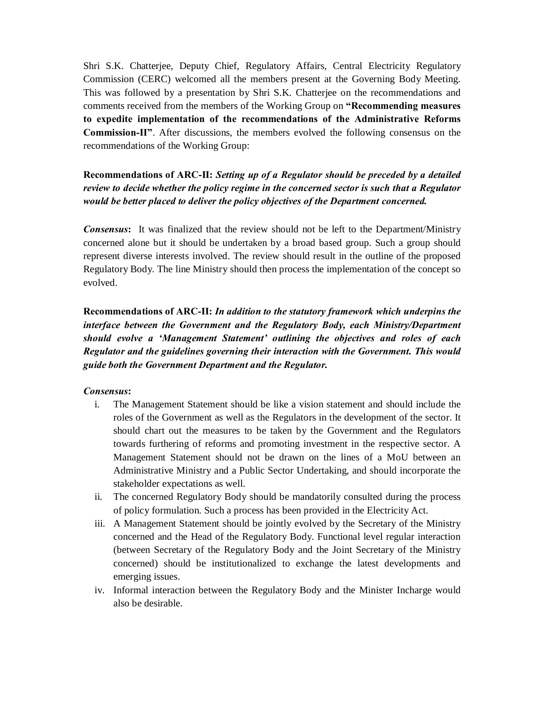Shri S.K. Chatterjee, Deputy Chief, Regulatory Affairs, Central Electricity Regulatory Commission (CERC) welcomed all the members present at the Governing Body Meeting. This was followed by a presentation by Shri S.K. Chatterjee on the recommendations and comments received from the members of the Working Group on **"Recommending measures to expedite implementation of the recommendations of the Administrative Reforms Commission-II"**. After discussions, the members evolved the following consensus on the recommendations of the Working Group:

**Recommendations of ARC-II:** *Setting up of a Regulator should be preceded by a detailed review to decide whether the policy regime in the concerned sector is such that a Regulator would be better placed to deliver the policy objectives of the Department concerned.* 

*Consensus***:** It was finalized that the review should not be left to the Department/Ministry concerned alone but it should be undertaken by a broad based group. Such a group should represent diverse interests involved. The review should result in the outline of the proposed Regulatory Body. The line Ministry should then process the implementation of the concept so evolved.

**Recommendations of ARC-II:** *In addition to the statutory framework which underpins the interface between the Government and the Regulatory Body, each Ministry/Department should evolve a 'Management Statement' outlining the objectives and roles of each Regulator and the guidelines governing their interaction with the Government. This would guide both the Government Department and the Regulator.* 

#### *Consensus***:**

- i. The Management Statement should be like a vision statement and should include the roles of the Government as well as the Regulators in the development of the sector. It should chart out the measures to be taken by the Government and the Regulators towards furthering of reforms and promoting investment in the respective sector. A Management Statement should not be drawn on the lines of a MoU between an Administrative Ministry and a Public Sector Undertaking, and should incorporate the stakeholder expectations as well.
- ii. The concerned Regulatory Body should be mandatorily consulted during the process of policy formulation. Such a process has been provided in the Electricity Act.
- iii. A Management Statement should be jointly evolved by the Secretary of the Ministry concerned and the Head of the Regulatory Body. Functional level regular interaction (between Secretary of the Regulatory Body and the Joint Secretary of the Ministry concerned) should be institutionalized to exchange the latest developments and emerging issues.
- iv. Informal interaction between the Regulatory Body and the Minister Incharge would also be desirable.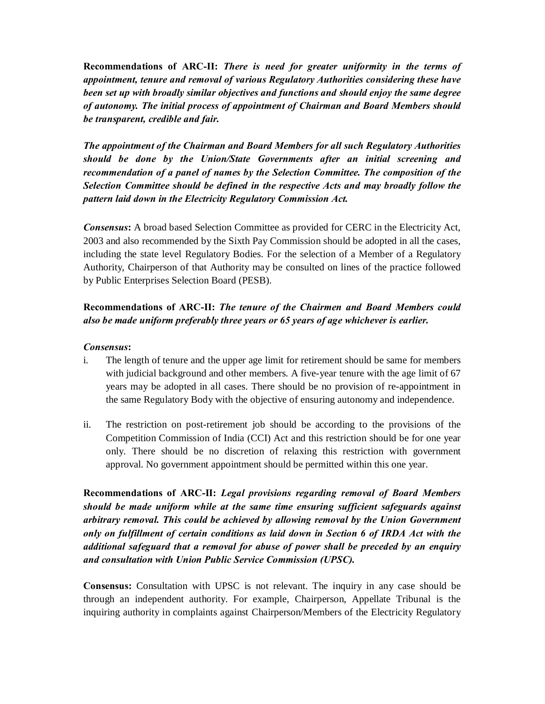**Recommendations of ARC-II:** *There is need for greater uniformity in the terms of appointment, tenure and removal of various Regulatory Authorities considering these have been set up with broadly similar objectives and functions and should enjoy the same degree of autonomy. The initial process of appointment of Chairman and Board Members should be transparent, credible and fair.* 

*The appointment of the Chairman and Board Members for all such Regulatory Authorities should be done by the Union/State Governments after an initial screening and recommendation of a panel of names by the Selection Committee. The composition of the Selection Committee should be defined in the respective Acts and may broadly follow the pattern laid down in the Electricity Regulatory Commission Act.* 

*Consensus***:** A broad based Selection Committee as provided for CERC in the Electricity Act, 2003 and also recommended by the Sixth Pay Commission should be adopted in all the cases, including the state level Regulatory Bodies. For the selection of a Member of a Regulatory Authority, Chairperson of that Authority may be consulted on lines of the practice followed by Public Enterprises Selection Board (PESB).

## **Recommendations of ARC-II:** *The tenure of the Chairmen and Board Members could also be made uniform preferably three years or 65 years of age whichever is earlier.*

### *Consensus***:**

- i. The length of tenure and the upper age limit for retirement should be same for members with judicial background and other members. A five-year tenure with the age limit of 67 years may be adopted in all cases. There should be no provision of re-appointment in the same Regulatory Body with the objective of ensuring autonomy and independence.
- ii. The restriction on post-retirement job should be according to the provisions of the Competition Commission of India (CCI) Act and this restriction should be for one year only. There should be no discretion of relaxing this restriction with government approval. No government appointment should be permitted within this one year.

**Recommendations of ARC-II:** *Legal provisions regarding removal of Board Members should be made uniform while at the same time ensuring sufficient safeguards against arbitrary removal. This could be achieved by allowing removal by the Union Government only on fulfillment of certain conditions as laid down in Section 6 of IRDA Act with the additional safeguard that a removal for abuse of power shall be preceded by an enquiry and consultation with Union Public Service Commission (UPSC).* 

**Consensus:** Consultation with UPSC is not relevant. The inquiry in any case should be through an independent authority. For example, Chairperson, Appellate Tribunal is the inquiring authority in complaints against Chairperson/Members of the Electricity Regulatory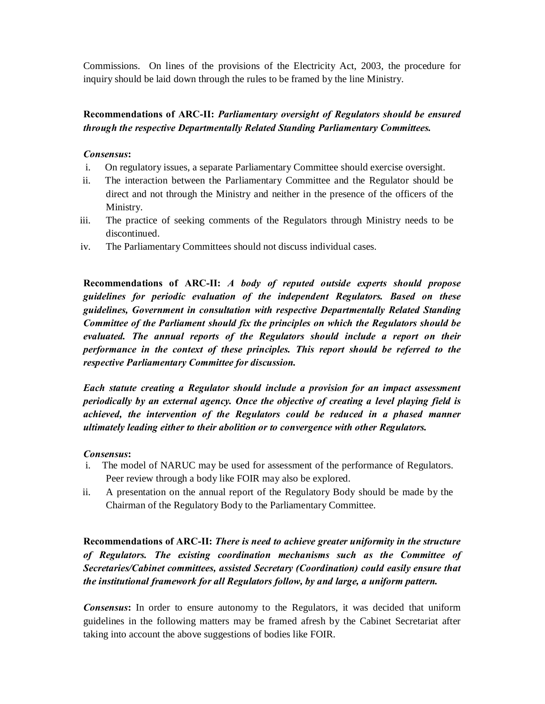Commissions. On lines of the provisions of the Electricity Act, 2003, the procedure for inquiry should be laid down through the rules to be framed by the line Ministry.

## **Recommendations of ARC-II:** *Parliamentary oversight of Regulators should be ensured through the respective Departmentally Related Standing Parliamentary Committees.*

#### *Consensus***:**

- i. On regulatory issues, a separate Parliamentary Committee should exercise oversight.
- ii. The interaction between the Parliamentary Committee and the Regulator should be direct and not through the Ministry and neither in the presence of the officers of the Ministry.
- iii. The practice of seeking comments of the Regulators through Ministry needs to be discontinued.
- iv. The Parliamentary Committees should not discuss individual cases.

**Recommendations of ARC-II:** *A body of reputed outside experts should propose guidelines for periodic evaluation of the independent Regulators. Based on these guidelines, Government in consultation with respective Departmentally Related Standing Committee of the Parliament should fix the principles on which the Regulators should be evaluated. The annual reports of the Regulators should include a report on their performance in the context of these principles. This report should be referred to the respective Parliamentary Committee for discussion.* 

*Each statute creating a Regulator should include a provision for an impact assessment periodically by an external agency. Once the objective of creating a level playing field is achieved, the intervention of the Regulators could be reduced in a phased manner ultimately leading either to their abolition or to convergence with other Regulators.* 

#### *Consensus***:**

- i. The model of NARUC may be used for assessment of the performance of Regulators. Peer review through a body like FOIR may also be explored.
- ii. A presentation on the annual report of the Regulatory Body should be made by the Chairman of the Regulatory Body to the Parliamentary Committee.

**Recommendations of ARC-II:** *There is need to achieve greater uniformity in the structure of Regulators. The existing coordination mechanisms such as the Committee of Secretaries/Cabinet committees, assisted Secretary (Coordination) could easily ensure that the institutional framework for all Regulators follow, by and large, a uniform pattern.* 

*Consensus***:** In order to ensure autonomy to the Regulators, it was decided that uniform guidelines in the following matters may be framed afresh by the Cabinet Secretariat after taking into account the above suggestions of bodies like FOIR.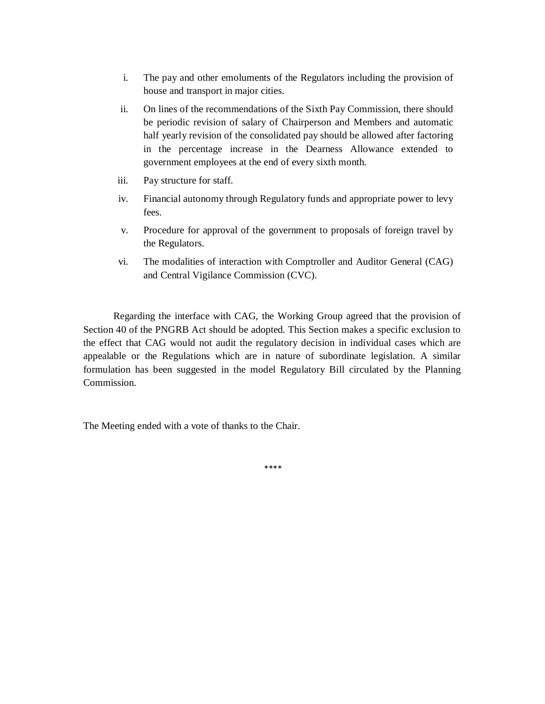- i. The pay and other emoluments of the Regulators including the provision of house and transport in major cities.
- ii. On lines of the recommendations of the Sixth Pay Commission, there should be periodic revision of salary of Chairperson and Members and automatic half yearly revision of the consolidated pay should be allowed after factoring in the percentage increase in the Dearness Allowance extended to government employees at the end of every sixth month.
- iii. Pay structure for staff.
- iv. Financial autonomy through Regulatory funds and appropriate power to levy fees.
- v. Procedure for approval of the government to proposals of foreign travel by the Regulators.
- vi. The modalities of interaction with Comptroller and Auditor General (CAG) and Central Vigilance Commission (CVC).

Regarding the interface with CAG, the Working Group agreed that the provision of Section 40 of the PNGRB Act should be adopted. This Section makes a specific exclusion to the effect that CAG would not audit the regulatory decision in individual cases which are appealable or the Regulations which are in nature of subordinate legislation. A similar formulation has been suggested in the model Regulatory Bill circulated by the Planning Commission.

The Meeting ended with a vote of thanks to the Chair.

\*\*\*\*